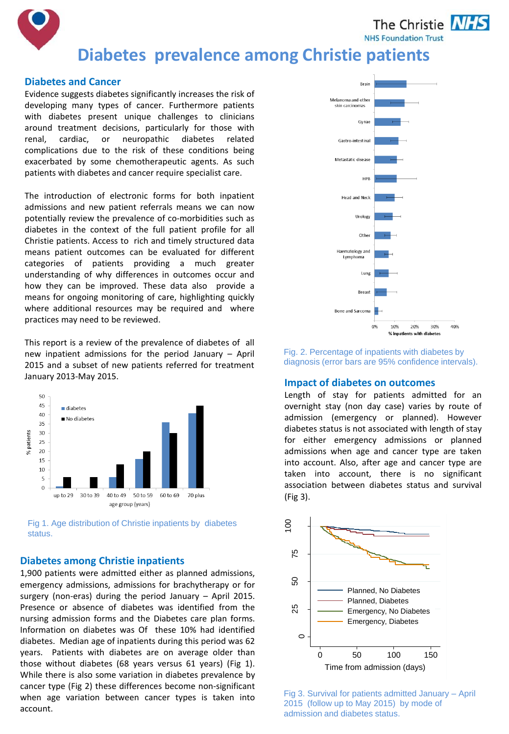The Christie **NHS NHS Foundation Trust** 



#### **Diabetes and Cancer**

Evidence suggests diabetes significantly increases the risk of developing many types of cancer. Furthermore patients with diabetes present unique challenges to clinicians around treatment decisions, particularly for those with renal, cardiac, or neuropathic diabetes related complications due to the risk of these conditions being exacerbated by some chemotherapeutic agents. As such patients with diabetes and cancer require specialist care.

The introduction of electronic forms for both inpatient admissions and new patient referrals means we can now potentially review the prevalence of co-morbidities such as diabetes in the context of the full patient profile for all Christie patients. Access to rich and timely structured data means patient outcomes can be evaluated for different categories of patients providing a much greater understanding of why differences in outcomes occur and how they can be improved. These data also provide a means for ongoing monitoring of care, highlighting quickly where additional resources may be required and where practices may need to be reviewed.

This report is a review of the prevalence of diabetes of all new inpatient admissions for the period January – April 2015 and a subset of new patients referred for treatment January 2013-May 2015.



Fig 1. Age distribution of Christie inpatients by diabetes status.

# **Diabetes among Christie inpatients**

1,900 patients were admitted either as planned admissions,<br>emergency admissions, admissions for brachytherapy or for<br>surgery (non-eras) during the period January – April 2015. emergency admissions, admissions for brachytherapy or for surgery (non-eras) during the period January – April 2015. Presence or absence of diabetes was identified from the nursing admission forms and the Diabetes care plan forms. Information on diabetes was Of these 10% had identified diabetes. Median age of inpatients during this period was 62 years. Patients with diabetes are on average older than those without diabetes (68 years versus 61 years) (Fig 1). While there is also some variation in diabetes prevalence by cancer type (Fig 2) these differences become non-significant when age variation between cancer types is taken into account.



Fig. 2. Percentage of inpatients with diabetes by diagnosis (error bars are 95% confidence intervals).

#### **Impact of diabetes on outcomes**

Length of stay for patients admitted for an overnight stay (non day case) varies by route of admission (emergency or planned). However diabetes status is not associated with length of stay for either emergency admissions or planned admissions when age and cancer type are taken into account. Also, after age and cancer type are taken into account, there is no significant association between diabetes status and survival (Fig 3).



Fig 3. Survival for patients admitted January – April 2015 (follow up to May 2015) by mode of